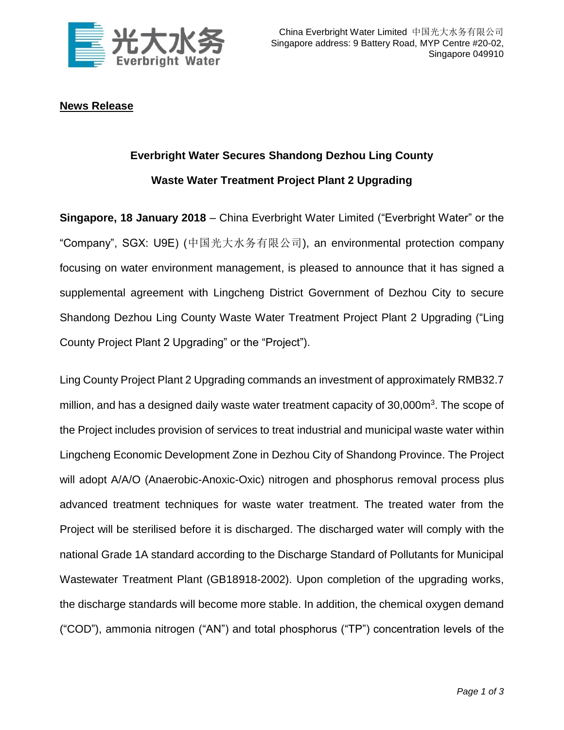

## **News Release**

## **Everbright Water Secures Shandong Dezhou Ling County Waste Water Treatment Project Plant 2 Upgrading**

**Singapore, 18 January 2018** – China Everbright Water Limited ("Everbright Water" or the "Company", SGX: U9E) (中国光大水务有限公司), an environmental protection company focusing on water environment management, is pleased to announce that it has signed a supplemental agreement with Lingcheng District Government of Dezhou City to secure Shandong Dezhou Ling County Waste Water Treatment Project Plant 2 Upgrading ("Ling County Project Plant 2 Upgrading" or the "Project").

Ling County Project Plant 2 Upgrading commands an investment of approximately RMB32.7 million, and has a designed daily waste water treatment capacity of 30,000m<sup>3</sup>. The scope of the Project includes provision of services to treat industrial and municipal waste water within Lingcheng Economic Development Zone in Dezhou City of Shandong Province. The Project will adopt A/A/O (Anaerobic-Anoxic-Oxic) nitrogen and phosphorus removal process plus advanced treatment techniques for waste water treatment. The treated water from the Project will be sterilised before it is discharged. The discharged water will comply with the national Grade 1A standard according to the Discharge Standard of Pollutants for Municipal Wastewater Treatment Plant (GB18918-2002). Upon completion of the upgrading works, the discharge standards will become more stable. In addition, the chemical oxygen demand ("COD"), ammonia nitrogen ("AN") and total phosphorus ("TP") concentration levels of the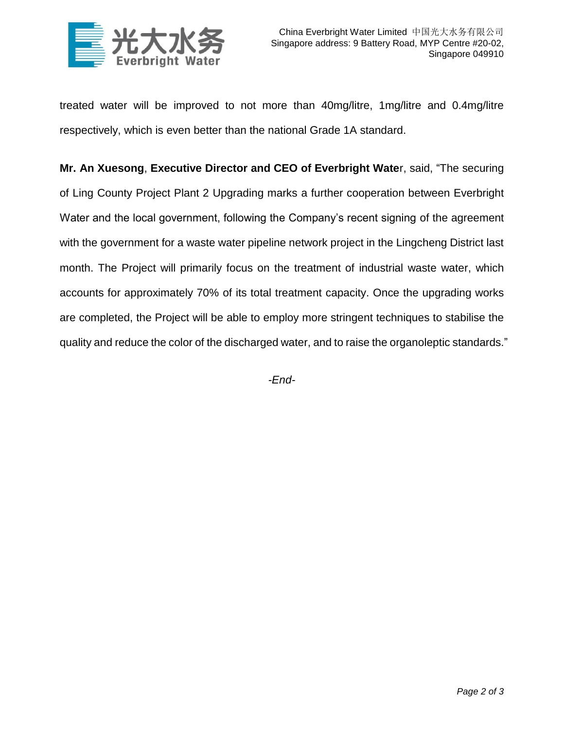

treated water will be improved to not more than 40mg/litre, 1mg/litre and 0.4mg/litre respectively, which is even better than the national Grade 1A standard.

**Mr. An Xuesong**, **Executive Director and CEO of Everbright Wate**r, said, "The securing of Ling County Project Plant 2 Upgrading marks a further cooperation between Everbright Water and the local government, following the Company's recent signing of the agreement with the government for a waste water pipeline network project in the Lingcheng District last month. The Project will primarily focus on the treatment of industrial waste water, which accounts for approximately 70% of its total treatment capacity. Once the upgrading works are completed, the Project will be able to employ more stringent techniques to stabilise the quality and reduce the color of the discharged water, and to raise the organoleptic standards."

*-End-*